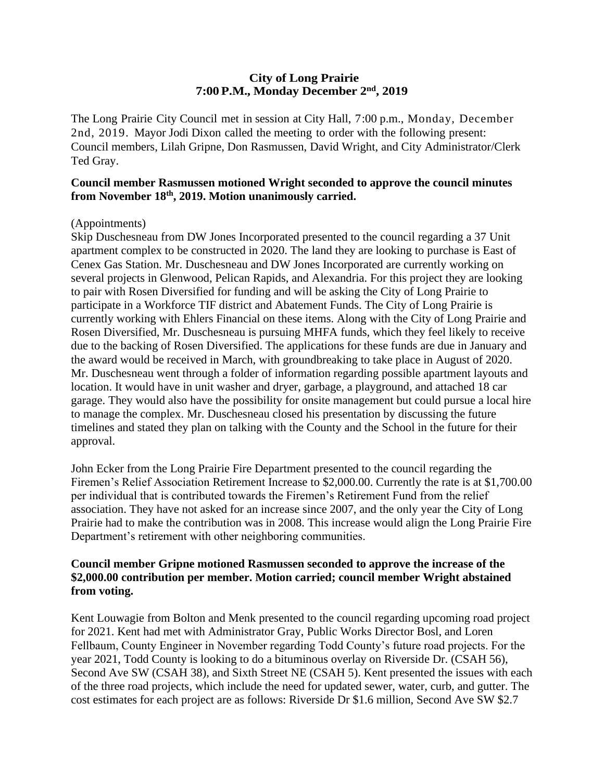### **City of Long Prairie 7:00P.M., Monday December 2nd, 2019**

The Long Prairie City Council met in session at City Hall, 7:00 p.m., Monday, December 2nd, 2019. Mayor Jodi Dixon called the meeting to order with the following present: Council members, Lilah Gripne, Don Rasmussen, David Wright, and City Administrator/Clerk Ted Gray.

### **Council member Rasmussen motioned Wright seconded to approve the council minutes from November 18th , 2019. Motion unanimously carried.**

### (Appointments)

Skip Duschesneau from DW Jones Incorporated presented to the council regarding a 37 Unit apartment complex to be constructed in 2020. The land they are looking to purchase is East of Cenex Gas Station. Mr. Duschesneau and DW Jones Incorporated are currently working on several projects in Glenwood, Pelican Rapids, and Alexandria. For this project they are looking to pair with Rosen Diversified for funding and will be asking the City of Long Prairie to participate in a Workforce TIF district and Abatement Funds. The City of Long Prairie is currently working with Ehlers Financial on these items. Along with the City of Long Prairie and Rosen Diversified, Mr. Duschesneau is pursuing MHFA funds, which they feel likely to receive due to the backing of Rosen Diversified. The applications for these funds are due in January and the award would be received in March, with groundbreaking to take place in August of 2020. Mr. Duschesneau went through a folder of information regarding possible apartment layouts and location. It would have in unit washer and dryer, garbage, a playground, and attached 18 car garage. They would also have the possibility for onsite management but could pursue a local hire to manage the complex. Mr. Duschesneau closed his presentation by discussing the future timelines and stated they plan on talking with the County and the School in the future for their approval.

John Ecker from the Long Prairie Fire Department presented to the council regarding the Firemen's Relief Association Retirement Increase to \$2,000.00. Currently the rate is at \$1,700.00 per individual that is contributed towards the Firemen's Retirement Fund from the relief association. They have not asked for an increase since 2007, and the only year the City of Long Prairie had to make the contribution was in 2008. This increase would align the Long Prairie Fire Department's retirement with other neighboring communities.

### **Council member Gripne motioned Rasmussen seconded to approve the increase of the \$2,000.00 contribution per member. Motion carried; council member Wright abstained from voting.**

Kent Louwagie from Bolton and Menk presented to the council regarding upcoming road project for 2021. Kent had met with Administrator Gray, Public Works Director Bosl, and Loren Fellbaum, County Engineer in November regarding Todd County's future road projects. For the year 2021, Todd County is looking to do a bituminous overlay on Riverside Dr. (CSAH 56), Second Ave SW (CSAH 38), and Sixth Street NE (CSAH 5). Kent presented the issues with each of the three road projects, which include the need for updated sewer, water, curb, and gutter. The cost estimates for each project are as follows: Riverside Dr \$1.6 million, Second Ave SW \$2.7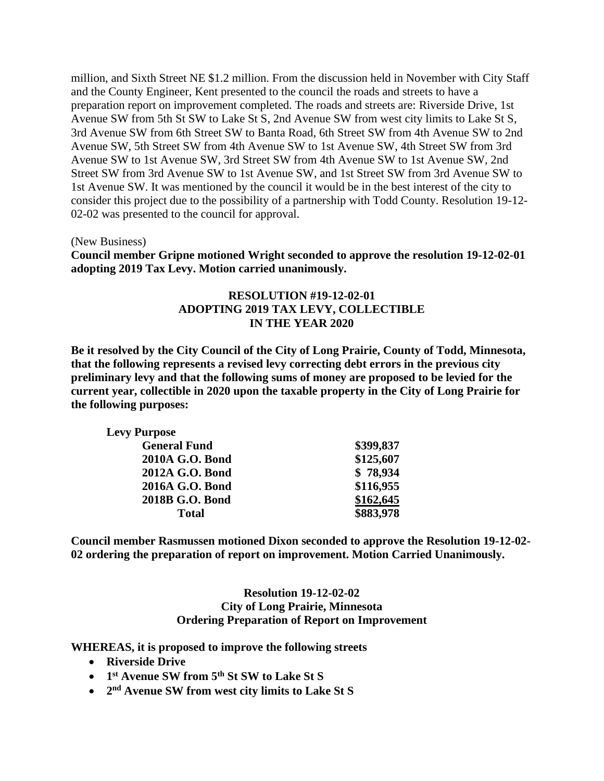million, and Sixth Street NE \$1.2 million. From the discussion held in November with City Staff and the County Engineer, Kent presented to the council the roads and streets to have a preparation report on improvement completed. The roads and streets are: Riverside Drive, 1st Avenue SW from 5th St SW to Lake St S, 2nd Avenue SW from west city limits to Lake St S, 3rd Avenue SW from 6th Street SW to Banta Road, 6th Street SW from 4th Avenue SW to 2nd Avenue SW, 5th Street SW from 4th Avenue SW to 1st Avenue SW, 4th Street SW from 3rd Avenue SW to 1st Avenue SW, 3rd Street SW from 4th Avenue SW to 1st Avenue SW, 2nd Street SW from 3rd Avenue SW to 1st Avenue SW, and 1st Street SW from 3rd Avenue SW to 1st Avenue SW. It was mentioned by the council it would be in the best interest of the city to consider this project due to the possibility of a partnership with Todd County. Resolution 19-12- 02-02 was presented to the council for approval.

(New Business)

**Council member Gripne motioned Wright seconded to approve the resolution 19-12-02-01 adopting 2019 Tax Levy. Motion carried unanimously.**

### **RESOLUTION #19-12-02-01 ADOPTING 2019 TAX LEVY, COLLECTIBLE IN THE YEAR 2020**

**Be it resolved by the City Council of the City of Long Prairie, County of Todd, Minnesota, that the following represents a revised levy correcting debt errors in the previous city preliminary levy and that the following sums of money are proposed to be levied for the current year, collectible in 2020 upon the taxable property in the City of Long Prairie for the following purposes:**

| <b>Levy Purpose</b> |           |
|---------------------|-----------|
| <b>General Fund</b> | \$399,837 |
| 2010A G.O. Bond     | \$125,607 |
| 2012A G.O. Bond     | \$78,934  |
| 2016A G.O. Bond     | \$116,955 |
| 2018B G.O. Bond     | \$162,645 |
| <b>Total</b>        | \$883,978 |

**Council member Rasmussen motioned Dixon seconded to approve the Resolution 19-12-02- 02 ordering the preparation of report on improvement. Motion Carried Unanimously.** 

#### **Resolution 19-12-02-02 City of Long Prairie, Minnesota Ordering Preparation of Report on Improvement**

**WHEREAS, it is proposed to improve the following streets**

- **Riverside Drive**
- **1 st Avenue SW from 5th St SW to Lake St S**
- **2 nd Avenue SW from west city limits to Lake St S**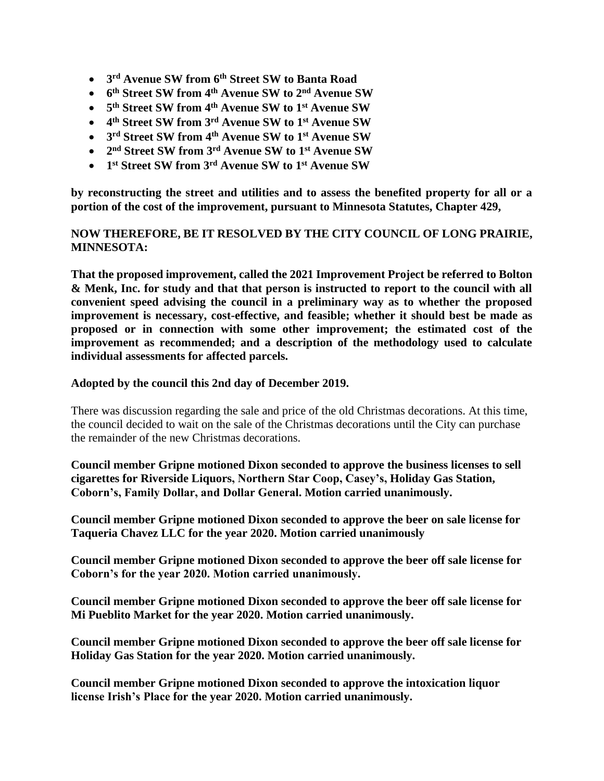- **3 rd Avenue SW from 6th Street SW to Banta Road**
- **6 th Street SW from 4th Avenue SW to 2nd Avenue SW**
- **5 th Street SW from 4th Avenue SW to 1st Avenue SW**
- **4 th Street SW from 3rd Avenue SW to 1st Avenue SW**
- **3 rd Street SW from 4th Avenue SW to 1st Avenue SW**
- **2 nd Street SW from 3rd Avenue SW to 1st Avenue SW**
- **1 st Street SW from 3rd Avenue SW to 1st Avenue SW**

**by reconstructing the street and utilities and to assess the benefited property for all or a portion of the cost of the improvement, pursuant to Minnesota Statutes, Chapter 429,**

# **NOW THEREFORE, BE IT RESOLVED BY THE CITY COUNCIL OF LONG PRAIRIE, MINNESOTA:**

**That the proposed improvement, called the 2021 Improvement Project be referred to Bolton & Menk, Inc. for study and that that person is instructed to report to the council with all convenient speed advising the council in a preliminary way as to whether the proposed improvement is necessary, cost-effective, and feasible; whether it should best be made as proposed or in connection with some other improvement; the estimated cost of the improvement as recommended; and a description of the methodology used to calculate individual assessments for affected parcels.**

### **Adopted by the council this 2nd day of December 2019.**

There was discussion regarding the sale and price of the old Christmas decorations. At this time, the council decided to wait on the sale of the Christmas decorations until the City can purchase the remainder of the new Christmas decorations.

**Council member Gripne motioned Dixon seconded to approve the business licenses to sell cigarettes for Riverside Liquors, Northern Star Coop, Casey's, Holiday Gas Station, Coborn's, Family Dollar, and Dollar General. Motion carried unanimously.** 

**Council member Gripne motioned Dixon seconded to approve the beer on sale license for Taqueria Chavez LLC for the year 2020. Motion carried unanimously** 

**Council member Gripne motioned Dixon seconded to approve the beer off sale license for Coborn's for the year 2020. Motion carried unanimously.** 

**Council member Gripne motioned Dixon seconded to approve the beer off sale license for Mi Pueblito Market for the year 2020. Motion carried unanimously.**

**Council member Gripne motioned Dixon seconded to approve the beer off sale license for Holiday Gas Station for the year 2020. Motion carried unanimously.**

**Council member Gripne motioned Dixon seconded to approve the intoxication liquor license Irish's Place for the year 2020. Motion carried unanimously.**